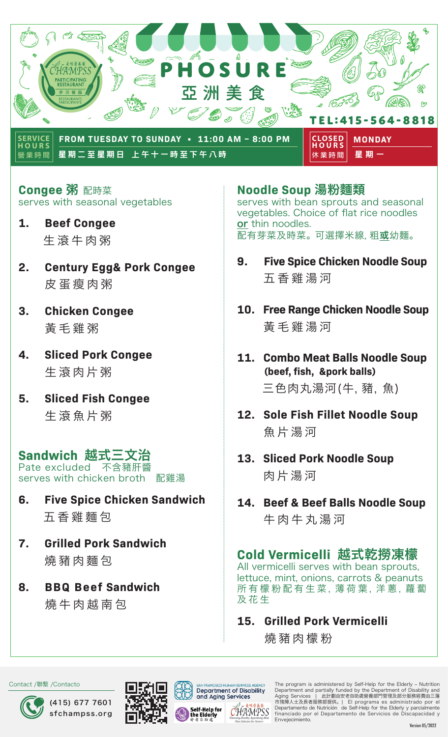

**營業時間** 星期二至星期日 上午十一時至下午八時 星期一

**休業時間 HOURS**

**Congee** 粥 配時菜 serves with seasonal vegetables

- **1. Beef Congee** 生滾牛肉粥
- **2. Century Egg& Pork Congee**  皮蛋瘦肉粥
- **3. Chicken Congee**  黃毛雞粥
- **4. Sliced Pork Congee** 生滾肉片粥
- **5. Sliced Fish Congee**  生滾魚片粥

# **Sandwich 越式三文治**<br>Pate excluded 不含豬肝醬

Pate excluded serves with chicken broth 配雞湯

- **6. Five Spice Chicken Sandwich**  五香雞麵包
- **7. Grilled Pork Sandwich**  燒豬肉麵包
- **8. BBQ Beef Sandwich**  燒牛肉越南包

### **Noodle Soup** 湯粉麵類

serves with bean sprouts and seasonal vegetables. Choice of flat rice noodles or thin noodles. 配有芽菜及時菜。 可選擇米線, 粗**或**幼麵。

- **9. Five Spice Chicken Noodle Soup** 五香雞湯河
- **10. Free Range Chicken Noodle Soup**  黃毛雞湯河
- **11. Combo Meat Balls Noodle Soup (beef, fish, &pork balls)** 三色肉丸湯河(牛,豬, 魚)
- **12. Sole Fish Fillet Noodle Soup**  魚片湯河
- **13. Sliced Pork Noodle Soup** 肉片湯河
- **14. Beef & Beef Balls Noodle Soup** 牛肉牛丸湯河

## **Cold Vermicelli** 越式乾撈凍檬

All vermicelli serves with bean sprouts, lettuce, mint, onions, carrots & peanuts 所有 檬 粉 配 有 生 菜, 薄 荷 葉, 洋 蔥, 蘿 蔔 及花生

### **15. Grilled Pork Vermicelli**

燒豬肉檬粉

Contact /聯繫 /Contacto







**Department of Disability** and Aging Services

HAMPSS

The program is administered by Self-Help for the Elderly – Nutrition Department and partially funded by the Department of Disability and Aging Services | 此計劃由安老自助處營養部門管理及部分服務經費由三藩 市殘障人士及長者服務部提供。 | El programa es administrado por el Departamento de Nutrición de Self-Help for the Elderly y parcialmente financiado por el Departamento de Servicios de Discapacidad y Envejecimiento.